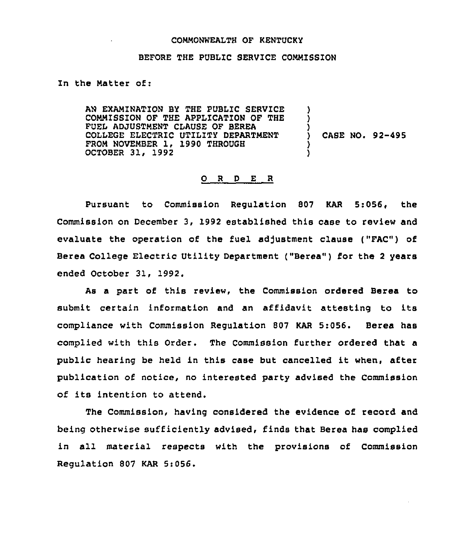## COMMONWEALTH OF KENTUCKY

## BEFORE THE PUBLIC SERVICE COMMZSSION

## In the Matter of:

AN EXAMINATION BY THE PUBLIC SERVICE COMMISSION OF THE APPLICATION OF THE FUEL ADJUSTMENT CLAUSE OF BEREA COLLEGE ELECTRIC UTILITY DEPARTMENT FROM NOVEMBER 1, 1990 THROUGH OCTOBER 31, 1992 ) ) ) )

) CASE NO. 92-495

## 0 <sup>R</sup> <sup>D</sup> E R

PurSuant to Commission Regulation S07 KAR 5:056, the Commission on December 3, 1992 established this case to review and evaluate the operation of the fuel adjustment clause ("FAC") of Berea College Electric Utility Department ("Berea") for the <sup>2</sup> years ended October 31, 1992.

As a part of this review, the Commission ordered Berea to submit certain information and an affidavit attesting to its compliance with Commission Regulation 807 KAR 5:056. Berea has complied with this Order. The Commission further ordered that a public hearing be held in this case but cancelled it when, after publication of notice, no interested party advised the Commission of its intention to attend.

The Commission, having considered the evidence of record and being otherwise sufficiently advised, finds that Berea has complied in all material respects with the provisions of Commission Regulation 807 KAR 5:056.